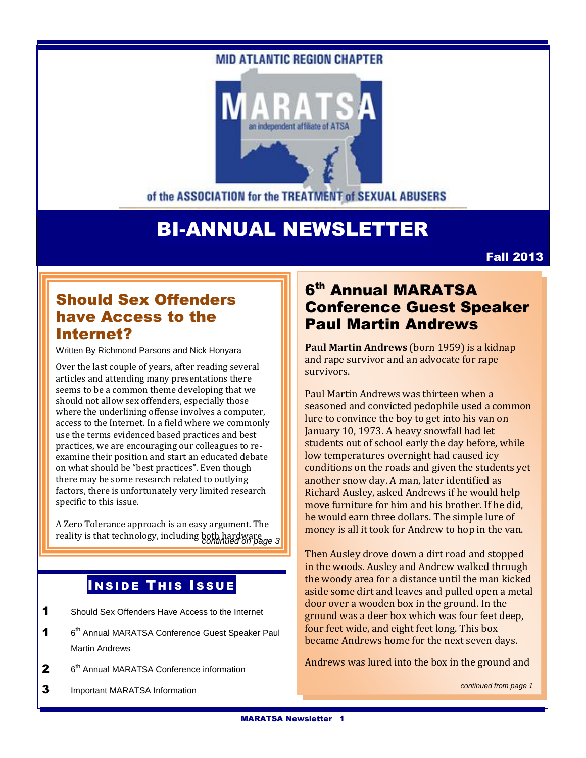#### **MID ATLANTIC REGION CHAPTER**



of the ASSOCIATION for the TREATMENT of SEXUAL ABUSERS

# BI-ANNUAL NEWSLETTER

Fall 2013

## Should Sex Offenders have Access to the Internet?

Written By Richmond Parsons and Nick Honyara

Over the last couple of years, after reading several articles and attending many presentations there seems to be a common theme developing that we should not allow sex offenders, especially those where the underlining offense involves a computer, access to the Internet. In a field where we commonly use the terms evidenced based practices and best practices, we are encouraging our colleagues to reexamine their position and start an educated debate on what should be "best practices". Even though there may be some research related to outlying factors, there is unfortunately very limited research specific to this issue.

A Zero Tolerance approach is an easy argument. The reality is that technology, including both hardware *continued on page 3*

### **INSIDE THIS ISSUE**

- 1 Should Sex Offenders Have Access to the Internet
- $\mathbf 1$ 6<sup>th</sup> Annual MARATSA Conference Guest Speaker Paul Martin Andrews
- $\mathbf{2}$  $6<sup>th</sup>$  Annual MARATSA Conference information
- 3 Important MARATSA Information

## 6<sup>th</sup> Annual MARATSA Conference Guest Speaker Paul Martin Andrews

**Paul Martin Andrews** (born 1959) is a kidnap and rape survivor and an advocate for rape survivors.

Paul Martin Andrews was thirteen when a seasoned and convicted pedophile used a common lure to convince the boy to get into his van on January 10, 1973. A heavy snowfall had let students out of school early the day before, while low temperatures overnight had caused icy conditions on the roads and given the students yet another snow day. A man, later identified as Richard Ausley, asked Andrews if he would help move furniture for him and his brother. If he did, he would earn three dollars. The simple lure of money is all it took for Andrew to hop in the van.

Then Ausley drove down a dirt road and stopped in the woods. Ausley and Andrew walked through the woody area for a distance until the man kicked aside some dirt and leaves and pulled open a metal door over a wooden box in the ground. In the ground was a deer box which was four feet deep, four feet wide, and eight feet long. This box became Andrews home for the next seven days.

Andrews was lured into the box in the ground and

*continued from page 1*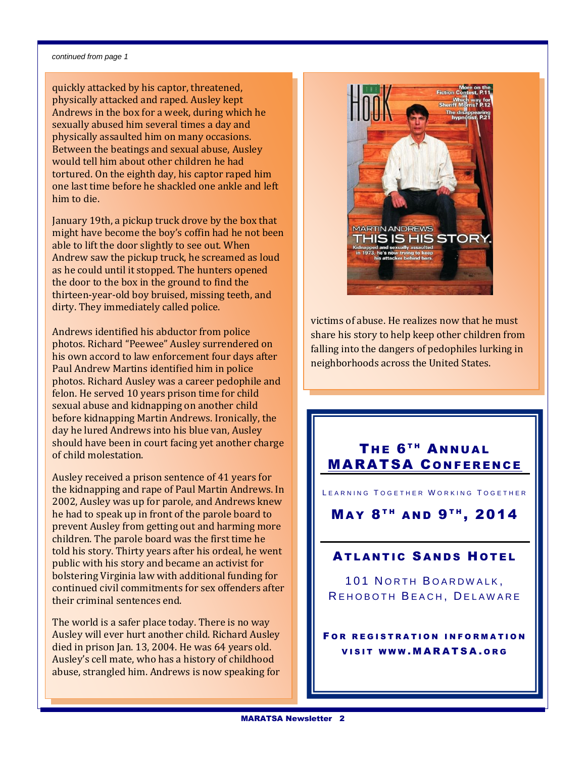#### *continued from page 1*

quickly attacked by his captor, threatened, physically attacked and raped. Ausley kept Andrews in the box for a week, during which he sexually abused him several times a day and physically assaulted him on many occasions. Between the beatings and sexual abuse, Ausley would tell him about other children he had tortured. On the eighth day, his captor raped him one last time before he shackled one ankle and left him to die.

January 19th, a pickup truck drove by the box that might have become the boy's coffin had he not been able to lift the door slightly to see out. When Andrew saw the pickup truck, he screamed as loud as he could until it stopped. The hunters opened the door to the box in the ground to find the thirteen-year-old boy bruised, missing teeth, and dirty. They immediately called police.

Andrews identified his abductor from police photos. Richard "Peewee" Ausley surrendered on his own accord to law enforcement four days after Paul Andrew Martins identified him in police photos. Richard Ausley was a career pedophile and felon. He served 10 years prison time for child sexual abuse and kidnapping on another child before kidnapping Martin Andrews. Ironically, the day he lured Andrews into his blue van, Ausley should have been in court facing yet another charge of child molestation.

Ausley received a prison sentence of 41 years for the kidnapping and rape of Paul Martin Andrews. In 2002, Ausley was up for parole, and Andrews knew he had to speak up in front of the parole board to prevent Ausley from getting out and harming more children. The parole board was the first time he told his story. Thirty years after his ordeal, he went public with his story and became an activist for bolstering Virginia law with additional funding for continued civil commitments for sex offenders after their criminal sentences end.

The world is a safer place today. There is no way Ausley will ever hurt another child. Richard Ausley died in prison Jan. 13, 2004. He was 64 years old. Ausley's cell mate, who has a history of childhood abuse, strangled him. Andrews is now speaking for



victims of abuse. He realizes now that he must share his story to help keep other children from falling into the dangers of pedophiles lurking in neighborhoods across the United States.

### THE 6<sup>TH</sup> ANNUAL **MARATSA CONFERENCE**

LEARNING TOGETHER WORKING TOGETHER

MAY 8<sup>TH</sup> AND 9<sup>TH</sup>, 2014

#### **ATLANTIC SANDS HOTEL**

**101 NORTH BOARDWALK.** REHOBOTH BEACH, DELAWARE

FOR REGISTRATION INFORMATION **VISIT WWW.MARATSA.ORG**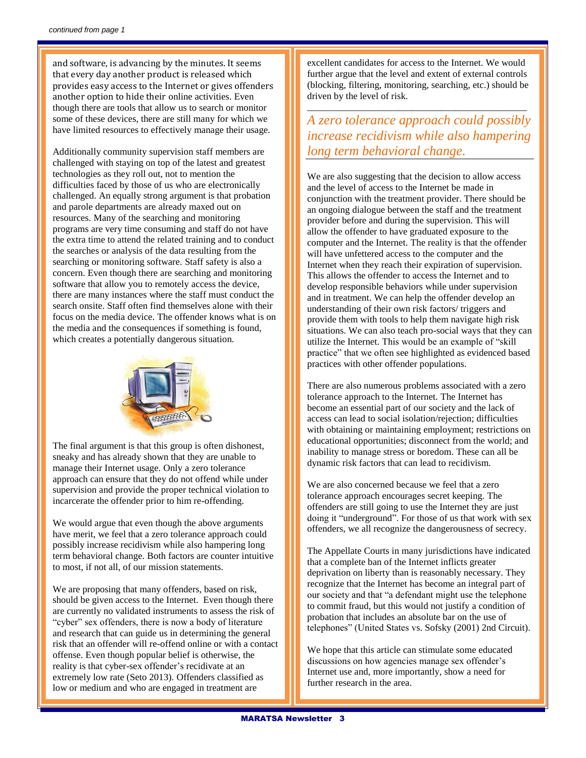and software, is advancing by the minutes. It seems that every day another product is released which provides easy access to the Internet or gives offenders another option to hide their online activities. Even though there are tools that allow us to search or monitor some of these devices, there are still many for which we have limited resources to effectively manage their usage.

Additionally community supervision staff members are challenged with staying on top of the latest and greatest technologies as they roll out, not to mention the difficulties faced by those of us who are electronically challenged. An equally strong argument is that probation and parole departments are already maxed out on resources. Many of the searching and monitoring programs are very time consuming and staff do not have the extra time to attend the related training and to conduct the searches or analysis of the data resulting from the searching or monitoring software. Staff safety is also a concern. Even though there are searching and monitoring software that allow you to remotely access the device, there are many instances where the staff must conduct the search onsite. Staff often find themselves alone with their focus on the media device. The offender knows what is on the media and the consequences if something is found, which creates a potentially dangerous situation.



The final argument is that this group is often dishonest, sneaky and has already shown that they are unable to manage their Internet usage. Only a zero tolerance approach can ensure that they do not offend while under supervision and provide the proper technical violation to incarcerate the offender prior to him re-offending.

We would argue that even though the above arguments have merit, we feel that a zero tolerance approach could possibly increase recidivism while also hampering long term behavioral change. Both factors are counter intuitive to most, if not all, of our mission statements.

We are proposing that many offenders, based on risk, should be given access to the Internet. Even though there are currently no validated instruments to assess the risk of "cyber" sex offenders, there is now a body of literature and research that can guide us in determining the general risk that an offender will re-offend online or with a contact offense. Even though popular belief is otherwise, the reality is that cyber-sex offender's recidivate at an extremely low rate (Seto 2013). Offenders classified as low or medium and who are engaged in treatment are

excellent candidates for access to the Internet. We would further argue that the level and extent of external controls (blocking, filtering, monitoring, searching, etc.) should be driven by the level of risk.

\_\_\_\_\_\_\_\_\_\_\_\_\_\_\_\_\_\_\_\_\_\_\_\_\_\_\_\_\_\_\_\_\_\_\_\_\_\_\_\_\_\_\_\_\_\_

*A zero tolerance approach could possibly increase recidivism while also hampering long term behavioral change.*

We are also suggesting that the decision to allow access and the level of access to the Internet be made in conjunction with the treatment provider. There should be an ongoing dialogue between the staff and the treatment provider before and during the supervision. This will allow the offender to have graduated exposure to the computer and the Internet. The reality is that the offender will have unfettered access to the computer and the Internet when they reach their expiration of supervision. This allows the offender to access the Internet and to develop responsible behaviors while under supervision and in treatment. We can help the offender develop an understanding of their own risk factors/ triggers and provide them with tools to help them navigate high risk situations. We can also teach pro-social ways that they can utilize the Internet. This would be an example of "skill practice" that we often see highlighted as evidenced based practices with other offender populations.

There are also numerous problems associated with a zero tolerance approach to the Internet. The Internet has become an essential part of our society and the lack of access can lead to social isolation/rejection; difficulties with obtaining or maintaining employment; restrictions on educational opportunities; disconnect from the world; and inability to manage stress or boredom. These can all be dynamic risk factors that can lead to recidivism.

We are also concerned because we feel that a zero tolerance approach encourages secret keeping. The offenders are still going to use the Internet they are just doing it "underground". For those of us that work with sex offenders, we all recognize the dangerousness of secrecy.

The Appellate Courts in many jurisdictions have indicated that a complete ban of the Internet inflicts greater deprivation on liberty than is reasonably necessary. They recognize that the Internet has become an integral part of our society and that "a defendant might use the telephone to commit fraud, but this would not justify a condition of probation that includes an absolute bar on the use of telephones" (United States vs. Sofsky (2001) 2nd Circuit).

We hope that this article can stimulate some educated discussions on how agencies manage sex offender's Internet use and, more importantly, show a need for further research in the area.